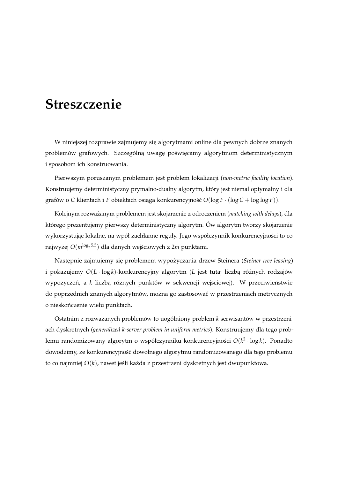## **Streszczenie**

W niniejszej rozprawie zajmujemy się algorytmami online dla pewnych dobrze znanych problemów grafowych. Szczególną uwagę poświęcamy algorytmom deterministycznym i sposobom ich konstruowania.

Pierwszym poruszanym problemem jest problem lokalizacji (*non-metric facility location*). Konstruujemy deterministyczny prymalno-dualny algorytm, który jest niemal optymalny i dla grafów o *C* klientach i *F* obiektach osiąga konkurencyjność  $O(\log F \cdot (\log C + \log \log F))$ .

Kolejnym rozwazanym problemem jest skojarzenie z odroczeniem ( ˙ *matching with delays*), dla którego prezentujemy pierwszy deterministyczny algorytm. Ów algorytm tworzy skojarzenie wykorzystując lokalne, na wpół zachłanne reguły. Jego współczynnik konkurencyjności to co najwyżej  $O(m^{\log_2 5.5})$  dla danych wejściowych z 2*m* punktami.

Następnie zajmujemy się problemem wypożyczania drzew Steinera (Steiner tree leasing) i pokazujemy  $O(L \cdot \log k)$ -konkurencyjny algorytm (*L* jest tutaj liczbą różnych rodzajów wypożyczeń, a *k* liczbą różnych punktów w sekwencji wejściowej). W przeciwieństwie do poprzednich znanych algorytmów, można go zastosować w przestrzeniach metrycznych o nieskończenie wielu punktach.

Ostatnim z rozważanych problemów to uogólniony problem *k* serwisantów w przestrzeniach dyskretnych (*generalized k-server problem in uniform metrics*). Konstruujemy dla tego problemu randomizowany algorytm o współczynniku konkurencyjności  $O(k^2 \cdot \log k)$ . Ponadto dowodzimy, że konkurencyjność dowolnego algorytmu randomizowanego dla tego problemu to co najmniej  $\Omega(k)$ , nawet jeśli każda z przestrzeni dyskretnych jest dwupunktowa.